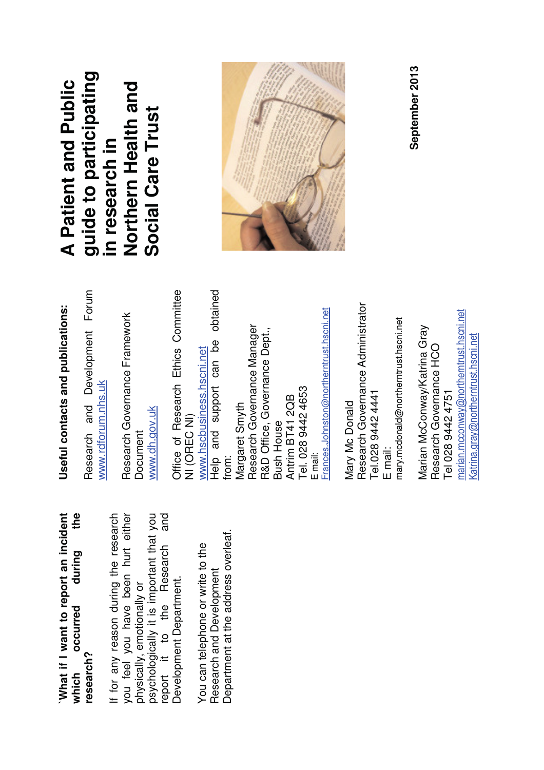**`What if I want to report an incident which occurred during the**  What if I want to report an incident the during occurred **research?**  which

If for any reason during the research you feel you have been hurt either psychologically it is important that you report it to the Research and psychologically it is important that you<br>report it to the Research and If for any reason during the research you feel you have been hurt either Development Department. Development Department. physically, emotionally or physically, emotionally or

Department at the address overleaf. Department at the address overleaf. You can telephone or write to the You can telephone or write to the Research and Development Research and Development

## Useful contacts and publications: **Useful contacts and publications:**

Research and Development Forum Research and Development Forum www.rdforum.nhs.uk www.rdforum.nhs.uk

Research Governance Framework Research Governance Framework www.dh.gov.uk www.dh.gov.uk Document

Office of Research Ethics Committee Help and support can be obtained Office of Research Ethics Committee Help and support can be obtained E mail:<br>Frances.Johnston@northerntrust.hscni.net Frances.Johnston@northerntrust.hscni.net Research Governance Manager Research Governance Manager R&D Office, Governance Dept., R&D Office, Governance Dept., www.hscbusiness.hscni.net www.hscbusiness.hscni.net Tel. 028 9442 4653 Tel. 028 9442 4653 Antrim BT41 2QB Antrim BT41 2QB from:<br>Margaret Smyth Margaret Smyth NI (OREC NI) NI (OREC NI) **Bush House** Bush House

Research Governance Administrator Research Governance Administrator mary.mcdonald@northerntrust.hscni.net E mail:<br>mary.mcdonald@northerntrust.hscni.net Tel.028 9442 4441 Tel.028 9442 4441 Mary Mc Donald Mary Mc Donald

ay@northerntrust.hscni.net Marian McConway/Katrina Gray Marian McConway/Katrina Gray Research Governance HCO Research Governance HCO Tel 028 9442 4751 Tel 028 9442 4751 cconw marian.m

<u>Katrina.gray@northerntrust.hscni.net</u>

Katrina.gray@northerntrust.hscni.net

**guide to participating**  guide to participating **A Patient and Public Northern Health and**  A Patient and Public Northern Health and **Social Care Trust**  Social Care Trust in research in **in research in** 



**September 2013** September 2013